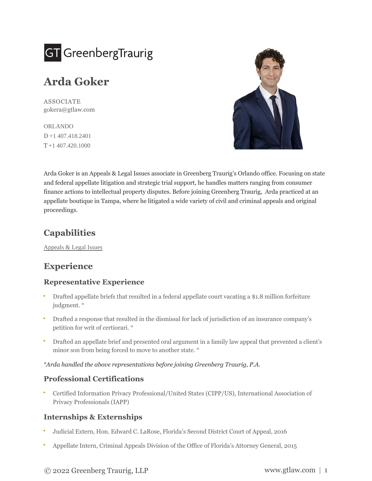

# **Arda Goker**

ASSOCIATE [gokera@gtlaw.com](mailto:gokera@gtlaw.com)

[ORLANDO](https://www.gtlaw.com/en/locations/orlando) D [+1 407.418.2401](tel:+1%20407.418.2401)  $T + 1$  407.420.1000



Arda Goker is an Appeals & Legal Issues associate in Greenberg Traurig's Orlando office. Focusing on state and federal appellate litigation and strategic trial support, he handles matters ranging from consumer finance actions to intellectual property disputes. Before joining Greenberg Traurig, Arda practiced at an appellate boutique in Tampa, where he litigated a wide variety of civil and criminal appeals and original proceedings.

## **Capabilities**

[Appeals & Legal Issues](https://www.gtlaw.com/en/capabilities/litigation/appeals-legal-issues)

## **Experience**

### **Representative Experience**

- Drafted appellate briefs that resulted in a federal appellate court vacating a \$1.8 million forfeiture judgment. ° **•**
- Drafted a response that resulted in the dismissal for lack of jurisdiction of an insurance company's petition for writ of certiorari. ° **•**
- Drafted an appellate brief and presented oral argument in a family law appeal that prevented a client's minor son from being forced to move to another state. ° **•**

*°Arda handled the above representations before joining Greenberg Traurig, P.A.*

### **Professional Certifications**

Certified Information Privacy Professional/United States (CIPP/US), International Association of Privacy Professionals (IAPP) **•**

### **Internships & Externships**

- **•** Judicial Extern, Hon. Edward C. LaRose, Florida's Second District Court of Appeal, 2016
- **•** Appellate Intern, Criminal Appeals Division of the Office of Florida's Attorney General, 2015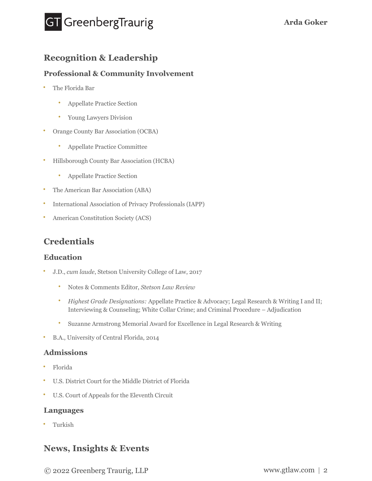

## **Recognition & Leadership**

### **Professional & Community Involvement**

- **•** The Florida Bar
	- **•** Appellate Practice Section
	- **•** Young Lawyers Division
- **•** Orange County Bar Association (OCBA)
	- **•** Appellate Practice Committee
- **•** Hillsborough County Bar Association (HCBA)
	- **•** Appellate Practice Section
- **•** The American Bar Association (ABA)
- **•** International Association of Privacy Professionals (IAPP)
- **•** American Constitution Society (ACS)

### **Credentials**

#### **Education**

- **•** J.D., *cum laude*, Stetson University College of Law, 2017
	- **•** Notes & Comments Editor, *Stetson Law Review*
	- *Highest Grade Designations:* Appellate Practice & Advocacy; Legal Research & Writing I and II; Interviewing & Counseling; White Collar Crime; and Criminal Procedure – Adjudication **•**
	- **•** Suzanne Armstrong Memorial Award for Excellence in Legal Research & Writing
- **•** B.A., University of Central Florida, 2014

#### **Admissions**

- **•** Florida
- **•** U.S. District Court for the Middle District of Florida
- **•** U.S. Court of Appeals for the Eleventh Circuit

#### **Languages**

**•** Turkish

### **News, Insights & Events**

© 2022 Greenberg Traurig, LLP [www.gtlaw.com](https://www.gtlaw.com/en/) | 2